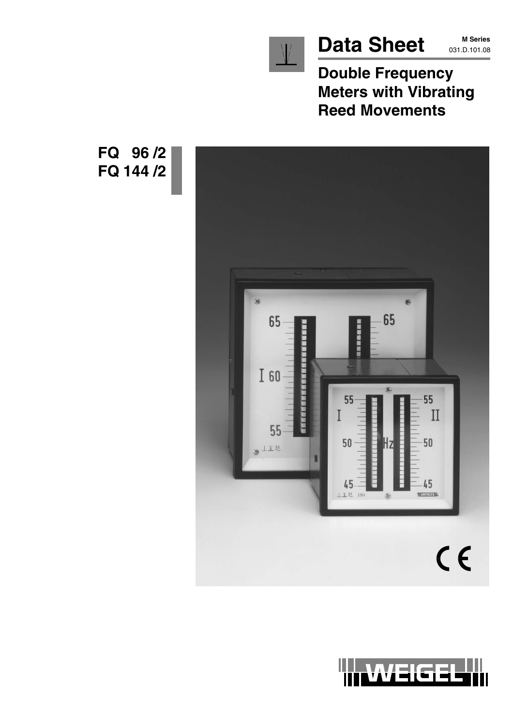

# Data Sheet MSeries

**M Series**

**Double Frequency Meters with Vibrating Reed Movements**





**FQ 96 /2 FQ 144 /2**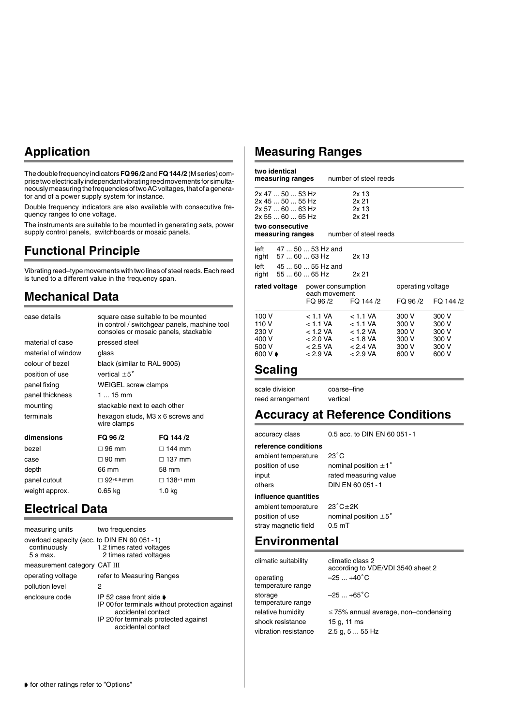# **Application**

The double frequency indicators **FQ 96 /2** and **FQ 144 /2** (M series) comprise two electrically independant vibrating reed movements for simultaneously measuring the frequencies of two AC voltages, that of a generator and of a power supply system for instance.

Double frequency indicators are also available with consecutive frequency ranges to one voltage.

The instruments are suitable to be mounted in generating sets, power supply control panels, switchboards or mosaic panels.

# **Functional Principle**

Vibrating reed–type movements with two lines of steel reeds. Each reed is tuned to a different value in the frequency span.

# **Mechanical Data**

| case details       | square case suitable to be mounted<br>in control / switchgear panels, machine tool<br>consoles or mosaic panels, stackable |               |
|--------------------|----------------------------------------------------------------------------------------------------------------------------|---------------|
| material of case   | pressed steel                                                                                                              |               |
| material of window | glass                                                                                                                      |               |
| colour of bezel    | black (similar to RAL 9005)                                                                                                |               |
| position of use    | vertical $\pm 5^{\circ}$                                                                                                   |               |
| panel fixing       | <b>WEIGEL screw clamps</b>                                                                                                 |               |
| panel thickness    | 1  15 mm                                                                                                                   |               |
| mounting           | stackable next to each other                                                                                               |               |
| terminals          | hexagon studs, M3 x 6 screws and<br>wire clamps                                                                            |               |
| dimensions         | FQ 96 /2                                                                                                                   | FQ 144 /2     |
| bezel              | $\Box$ 96 mm                                                                                                               | $\Box$ 144 mm |
| case               | $\Box$ 90 mm                                                                                                               | $\Box$ 137 mm |
| depth              | 66 mm                                                                                                                      | 58 mm         |
| panel cutout       | $\Box$ 92+0.8 mm                                                                                                           | □ 138+1 mm    |
| weight approx.     | 0.65 ka                                                                                                                    | 1.0 kg        |
|                    |                                                                                                                            |               |

# **Electrical Data**

| measuring units                                                           | two frequencies                                                                                                                                                        |
|---------------------------------------------------------------------------|------------------------------------------------------------------------------------------------------------------------------------------------------------------------|
| overload capacity (acc. to DIN EN 60 051 - 1)<br>continuously<br>5 s max. | 1.2 times rated voltages<br>2 times rated voltages                                                                                                                     |
| measurement category CAT III                                              |                                                                                                                                                                        |
| operating voltage                                                         | refer to Measuring Ranges                                                                                                                                              |
| pollution level                                                           | 2                                                                                                                                                                      |
| enclosure code                                                            | IP 52 case front side $\bullet$<br>IP 00 for terminals without protection against<br>accidental contact<br>IP 20 for terminals protected against<br>accidental contact |

# **Measuring Ranges**

|               | two identical                    |          |                                    |                       |                   |         |           |
|---------------|----------------------------------|----------|------------------------------------|-----------------------|-------------------|---------|-----------|
|               | measuring ranges                 |          |                                    | number of steel reeds |                   |         |           |
|               | 2x 47  50  53 Hz                 |          |                                    | 2x 13                 |                   |         |           |
|               | $2x$ 45 $\dots$ 50 $\dots$ 55 Hz |          |                                    | 2x 21                 |                   |         |           |
|               | 2x 57  60  63 Hz                 |          |                                    | 2x 13                 |                   |         |           |
|               | 2x 55  60  65 Hz                 |          |                                    | 2x <sub>21</sub>      |                   |         |           |
|               | two consecutive                  |          |                                    |                       |                   |         |           |
|               | measuring ranges                 |          |                                    | number of steel reeds |                   |         |           |
| left          | 47  50  53 Hz and                |          |                                    |                       |                   |         |           |
|               | right 57  60  63 Hz              |          |                                    | 2x 13                 |                   |         |           |
| left          | 45  50  55 Hz and                |          |                                    |                       |                   |         |           |
| right         | $556065$ Hz                      |          |                                    | 2x <sub>21</sub>      |                   |         |           |
| rated voltage |                                  |          | power consumption<br>each movement |                       | operating voltage |         |           |
|               |                                  | FQ 96 /2 |                                    | FQ 144 /2             |                   | FQ 96/2 | FQ 144 /2 |
| 100 V         |                                  | < 1.1 VA |                                    | $< 1.1$ VA            |                   | 300 V   | 300 V     |
| 110 V         |                                  | < 1.1 VA |                                    | < 1.1 VA              |                   | 300 V   | 300 V     |
| 230 V         |                                  | < 1.2 VA |                                    | < 1.2 VA              |                   | 300 V   | 300 V     |
| 400 V         |                                  | < 2.0 VA |                                    | $<$ 1.8 VA            |                   | 300 V   | 300 V     |
| 500 V         |                                  | < 2.5 VA |                                    | < 2.4 VA              |                   | 300 V   | 300 V     |
| 600 V ♦       |                                  | < 2.9 VA |                                    | $< 2.9$ VA            |                   | 600 V   | 600 V     |
|               |                                  |          |                                    |                       |                   |         |           |

### **Scaling**

scale division coarse–fine reed arrangement vertical

## **Accuracy at Reference Conditions**

accuracy class 0.5 acc. to DIN EN 60 051-1

**reference conditions** ambient temperature  $23^{\circ}$ C position of use nominal position  $\pm 1^{\circ}$ input rated measuring value others DIN EN 60 051-1 **influence quantities** ambient temperature

 $23^{\circ}$ C $\pm$ 2K position of use nominal position  $\pm 5^{\circ}$ stray magnetic field 0.5 mT

## **Environmental**

operating  $-25 ... +40^{\circ}C$ temperature range storage  $-25...+65^{\circ}$ C temperature range shock resistance 15 g, 11 ms vibration resistance 2.5 g, 5 ... 55 Hz

climatic suitability climatic class 2 according to VDE/VDI 3540 sheet 2

relative humidity 75% annual average, non–condensing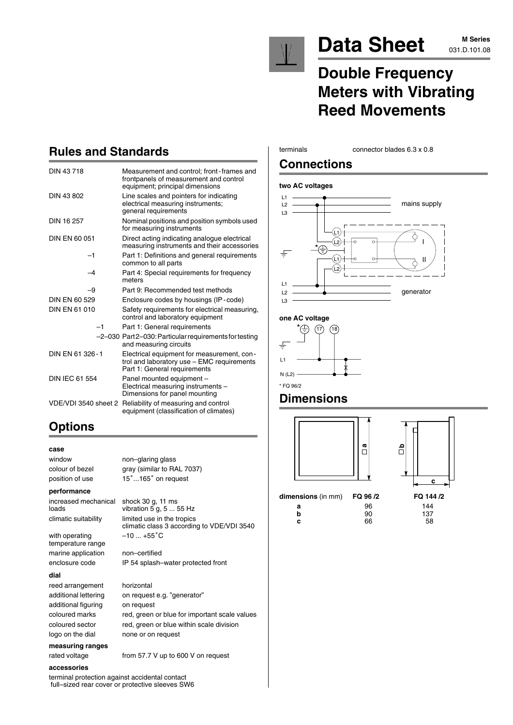

# Data Sheet MSeries

# **M Series**

# **Double Frequency Meters with Vibrating Reed Movements**

# **Rules and Standards**

| DIN 43718             | Measurement and control; front-frames and<br>frontpanels of measurement and control<br>equipment; principal dimensions   |
|-----------------------|--------------------------------------------------------------------------------------------------------------------------|
| DIN 43 802            | Line scales and pointers for indicating<br>electrical measuring instruments;<br>general requirements                     |
| DIN 16 257            | Nominal positions and position symbols used<br>for measuring instruments                                                 |
| DIN EN 60 051         | Direct acting indicating analogue electrical<br>measuring instruments and their accessories                              |
| $-1$                  | Part 1: Definitions and general requirements<br>common to all parts                                                      |
| $-4$                  | Part 4: Special requirements for frequency<br>meters                                                                     |
| -9                    | Part 9: Recommended test methods                                                                                         |
| DIN EN 60 529         | Enclosure codes by housings (IP-code)                                                                                    |
| <b>DIN EN 61 010</b>  | Safety requirements for electrical measuring,<br>control and laboratory equipment                                        |
| $-1$                  | Part 1: General requirements                                                                                             |
|                       | -2-030 Part 2-030: Particular requirements for testing<br>and measuring circuits                                         |
| DIN FN 61 326-1       | Electrical equipment for measurement, con-<br>trol and laboratory use - EMC requirements<br>Part 1: General requirements |
| <b>DIN IEC 61 554</b> | Panel mounted equipment -<br>Electrical measuring instruments -<br>Dimensions for panel mounting                         |
| VDE/VDI 3540 sheet 2  | Reliability of measuring and control<br>equipment (classification of climates)                                           |

#### terminals connector blades 6.3 x 0.8

### **Connections**

#### **two AC voltages**



#### **one AC voltage**



### **Dimensions**



**dimensions** (in mm) **FQ 96 /2** 



| n <b>sions</b> (in mm) <b>FQ 96 /2</b> |    | FQ 144 /2 |
|----------------------------------------|----|-----------|
| а                                      | 96 | 144       |
| b                                      | 90 | 137       |
| c                                      | 66 | 58        |

| DIN 43 802           | Line scales and pointers for indicating<br>electrical measuring instruments;<br>general requirements                     |
|----------------------|--------------------------------------------------------------------------------------------------------------------------|
| DIN 16 257           | Nominal positions and position symbols used<br>for measuring instruments                                                 |
| DIN EN 60 051        | Direct acting indicating analogue electrical<br>measuring instruments and their accessories                              |
| $-1$                 | Part 1: Definitions and general requirements<br>common to all parts                                                      |
| -4                   | Part 4: Special requirements for frequency<br>meters                                                                     |
| -9                   | Part 9: Recommended test methods                                                                                         |
| DIN EN 60 529        | Enclosure codes by housings (IP-code)                                                                                    |
| DIN EN 61 010        | Safety requirements for electrical measuring,<br>control and laboratory equipment                                        |
| $-1$                 | Part 1: General requirements                                                                                             |
|                      | -2-030 Part2-030: Particular requirements for testing<br>and measuring circuits                                          |
| DIN FN 61 326-1      | Electrical equipment for measurement, con-<br>trol and laboratory use - EMC requirements<br>Part 1: General requirements |
| DIN IEC 61 554       | Panel mounted equipment -<br>Electrical measuring instruments -<br>Dimensions for panel mounting                         |
| VDE/VDI 3540 sheet 2 | Reliability of measuring and control<br>equipment (classification of climates)                                           |

# **Options**

### **case**

position of use

#### **performance**

increased mechanical shock 30 g, 11 ms

with operating temperature range marine application non–certified

#### **dial**

reed arrangement horizontal additional figuring on request

**measuring ranges** rated voltage from 57.7 V up to 600 V on request

#### **accessories**

terminal protection against accidental contact full–sized rear cover or protective sleeves SW6

window non–glaring glass colour of bezel gray (similar to RAL 7037) ...165° on request

loads vibration  $5 \text{ g}, 5 \dots 55 \text{ Hz}$ climatic suitability limited use in the tropics climatic class 3 according to VDE/VDI 3540  $-10...+55^{\circ}C$ 

enclosure code IP 54 splash–water protected front

additional lettering on request e.g. "generator" coloured marks red, green or blue for important scale values coloured sector red, green or blue within scale division logo on the dial none or on request